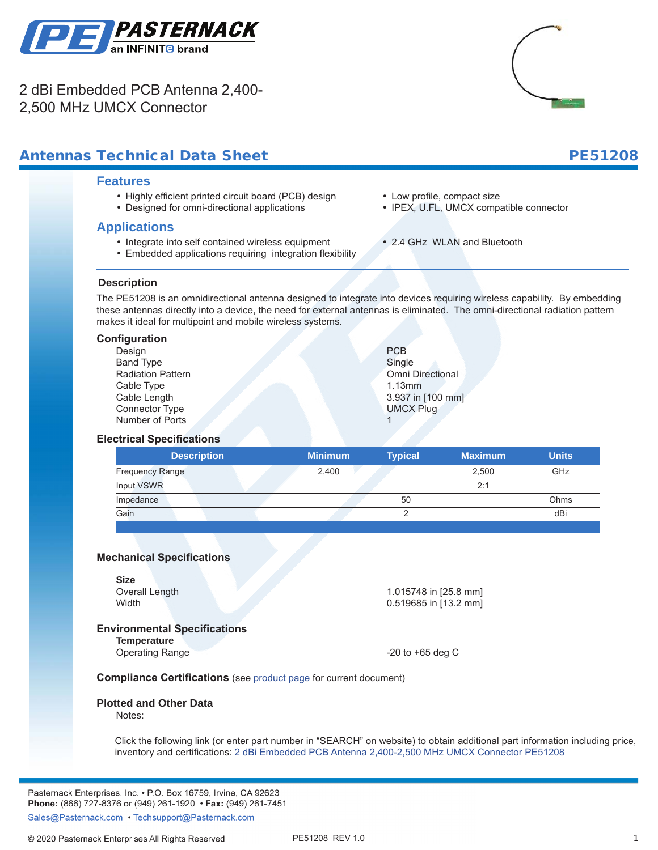

2 dBi Embedded PCB Antenna 2,400- 2,500 MHz UMCX Connector



## Antennas Technical Data Sheet PE51208

#### **Features**

- Highly efficient printed circuit board (PCB) design
- Designed for omni-directional applications

### **Applications**

- Integrate into self contained wireless equipment
- Embedded applications requiring integration flexibility
- Low profile, compact size
- IPEX, U.FL, UMCX compatible connector
- 2.4 GHz WLAN and Bluetooth

### **Description**

**.**

The PE51208 is an omnidirectional antenna designed to integrate into devices requiring wireless capability. By embedding these antennas directly into a device, the need for external antennas is eliminated. The omni-directional radiation pattern makes it ideal for multipoint and mobile wireless systems.

#### **Configuration**

| Design                   | <b>PCB</b>              |
|--------------------------|-------------------------|
| <b>Band Type</b>         | Single                  |
| <b>Radiation Pattern</b> | <b>Omni Directional</b> |
| Cable Type               | 1.13mm                  |
| Cable Length             | 3.937 in [100 mm]       |
| <b>Connector Type</b>    | <b>UMCX Plug</b>        |
| Number of Ports          |                         |

#### **Electrical Specifications**

| <b>Description</b>     | <b>Minimum</b> | <b>Typical</b> | <b>Maximum</b> | <b>Units</b> |
|------------------------|----------------|----------------|----------------|--------------|
| <b>Frequency Range</b> | 2.400          |                | 2,500          | GHz          |
| <b>Input VSWR</b>      |                |                | 2:1            |              |
| Impedance              |                | 50             |                | Ohms         |
| Gain                   |                |                |                | dBi          |
|                        |                |                |                |              |

#### **Mechanical Specifications**

| <b>Size</b>                         |                       |
|-------------------------------------|-----------------------|
| Overall Length                      | 1.015748 in [25.8 mm] |
| Width                               | 0.519685 in [13.2 mm] |
| <b>Environmental Specifications</b> |                       |
| <b>Temperature</b>                  |                       |

Operating Range **COLLECT 2018** COPERATION 120 to +65 deg C

**Compliance Certifications** (see [product page](https://www.pasternack.com/single-antenna-2.4-2.5-ghz-2-dbi-gain-umcx-pe51208-p.aspx) for current document)

#### **Plotted and Other Data**

Notes:

Click the following link (or enter part number in "SEARCH" on website) to obtain additional part information including price, inventory and certifications: [2 dBi Embedded PCB Antenna 2,400-2,500 MHz UMCX Connector](https://www.pasternack.com/single-antenna-2.4-2.5-ghz-2-dbi-gain-umcx-pe51208-p.aspx) [PE51208](https://www.pasternack.com/single-antenna-2.4-2.5-ghz-2-dbi-gain-umcx-pe51208-p.aspx)

Pasternack Enterprises, Inc. • P.O. Box 16759, Irvine, CA 92623 Phone: (866) 727-8376 or (949) 261-1920 • Fax: (949) 261-7451

Sales@Pasternack.com • Techsupport@Pasternack.com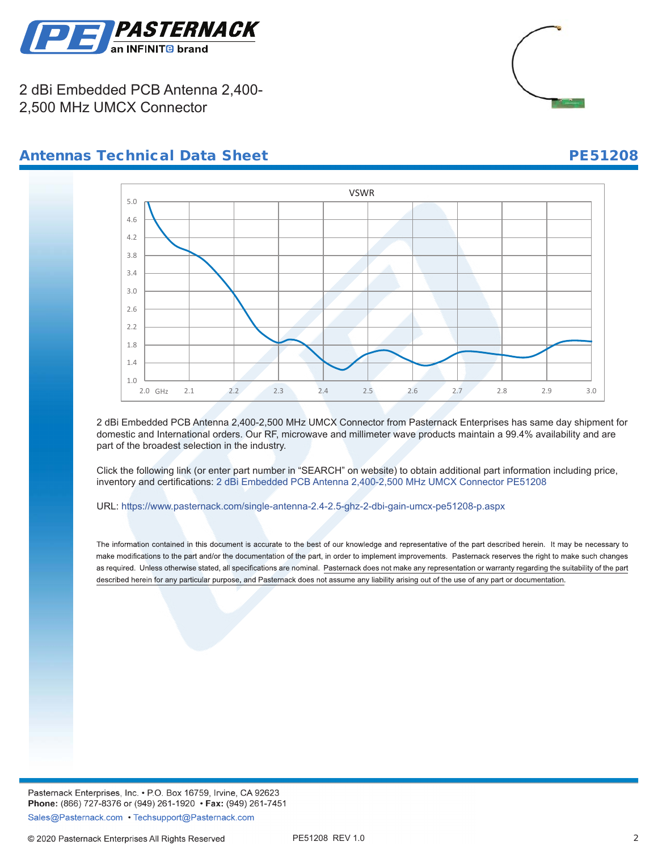

2 dBi Embedded PCB Antenna 2,400- 2,500 MHz UMCX Connector



## Antennas Technical Data Sheet PE51208



2 dBi Embedded PCB Antenna 2,400-2,500 MHz UMCX Connector from Pasternack Enterprises has same day shipment for domestic and International orders. Our RF, microwave and millimeter wave products maintain a 99.4% availability and are part of the broadest selection in the industry.

Click the following link (or enter part number in "SEARCH" on website) to obtain additional part information including price, inventory and certifications: [2 dBi Embedded PCB Antenna 2,400-2,500 MHz UMCX Connector](https://www.pasternack.com/single-antenna-2.4-2.5-ghz-2-dbi-gain-umcx-pe51208-p.aspx) [PE51208](https://www.pasternack.com/single-antenna-2.4-2.5-ghz-2-dbi-gain-umcx-pe51208-p.aspx)

URL: https://www.pasternack.com/single-antenna-2.4-2.5-ghz-2-dbi-gain-umcx-pe51208-p.aspx

The information contained in this document is accurate to the best of our knowledge and representative of the part described herein. It may be necessary to make modifications to the part and/or the documentation of the part, in order to implement improvements. Pasternack reserves the right to make such changes as required. Unless otherwise stated, all specifications are nominal. Pasternack does not make any representation or warranty regarding the suitability of the part described herein for any particular purpose, and Pasternack does not assume any liability arising out of the use of any part or documentation.

Pasternack Enterprises, Inc. • P.O. Box 16759, Irvine, CA 92623 Phone: (866) 727-8376 or (949) 261-1920 • Fax: (949) 261-7451 Sales@Pasternack.com • Techsupport@Pasternack.com